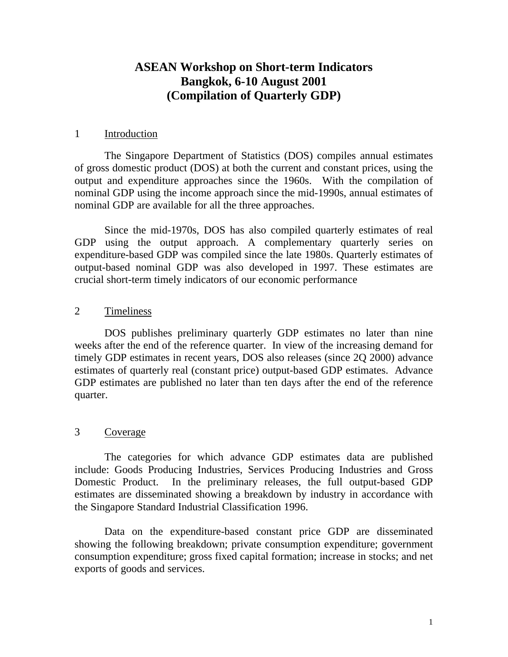# **ASEAN Workshop on Short-term Indicators Bangkok, 6-10 August 2001 (Compilation of Quarterly GDP)**

# 1 Introduction

The Singapore Department of Statistics (DOS) compiles annual estimates of gross domestic product (DOS) at both the current and constant prices, using the output and expenditure approaches since the 1960s. With the compilation of nominal GDP using the income approach since the mid-1990s, annual estimates of nominal GDP are available for all the three approaches.

Since the mid-1970s, DOS has also compiled quarterly estimates of real GDP using the output approach. A complementary quarterly series on expenditure-based GDP was compiled since the late 1980s. Quarterly estimates of output-based nominal GDP was also developed in 1997. These estimates are crucial short-term timely indicators of our economic performance

# 2 Timeliness

DOS publishes preliminary quarterly GDP estimates no later than nine weeks after the end of the reference quarter. In view of the increasing demand for timely GDP estimates in recent years, DOS also releases (since 2Q 2000) advance estimates of quarterly real (constant price) output-based GDP estimates. Advance GDP estimates are published no later than ten days after the end of the reference quarter.

# 3 Coverage

The categories for which advance GDP estimates data are published include: Goods Producing Industries, Services Producing Industries and Gross Domestic Product. In the preliminary releases, the full output-based GDP estimates are disseminated showing a breakdown by industry in accordance with the Singapore Standard Industrial Classification 1996.

Data on the expenditure-based constant price GDP are disseminated showing the following breakdown; private consumption expenditure; government consumption expenditure; gross fixed capital formation; increase in stocks; and net exports of goods and services.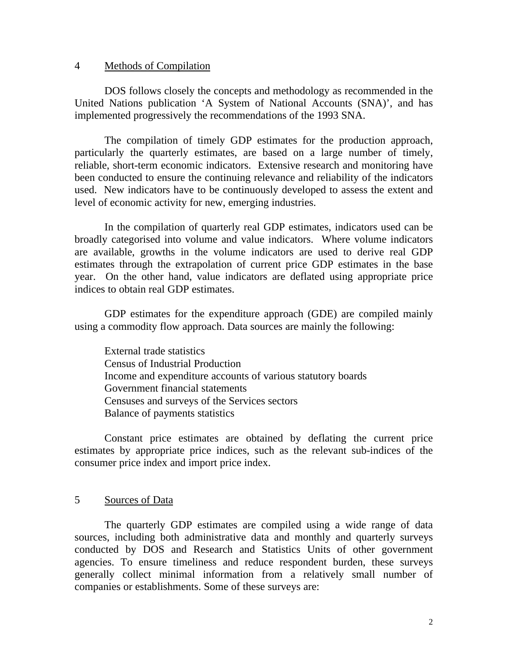# 4 Methods of Compilation

DOS follows closely the concepts and methodology as recommended in the United Nations publication 'A System of National Accounts (SNA)', and has implemented progressively the recommendations of the 1993 SNA.

The compilation of timely GDP estimates for the production approach, particularly the quarterly estimates, are based on a large number of timely, reliable, short-term economic indicators. Extensive research and monitoring have been conducted to ensure the continuing relevance and reliability of the indicators used. New indicators have to be continuously developed to assess the extent and level of economic activity for new, emerging industries.

In the compilation of quarterly real GDP estimates, indicators used can be broadly categorised into volume and value indicators. Where volume indicators are available, growths in the volume indicators are used to derive real GDP estimates through the extrapolation of current price GDP estimates in the base year. On the other hand, value indicators are deflated using appropriate price indices to obtain real GDP estimates.

GDP estimates for the expenditure approach (GDE) are compiled mainly using a commodity flow approach. Data sources are mainly the following:

External trade statistics Census of Industrial Production Income and expenditure accounts of various statutory boards Government financial statements Censuses and surveys of the Services sectors Balance of payments statistics

Constant price estimates are obtained by deflating the current price estimates by appropriate price indices, such as the relevant sub-indices of the consumer price index and import price index.

# 5 Sources of Data

The quarterly GDP estimates are compiled using a wide range of data sources, including both administrative data and monthly and quarterly surveys conducted by DOS and Research and Statistics Units of other government agencies. To ensure timeliness and reduce respondent burden, these surveys generally collect minimal information from a relatively small number of companies or establishments. Some of these surveys are: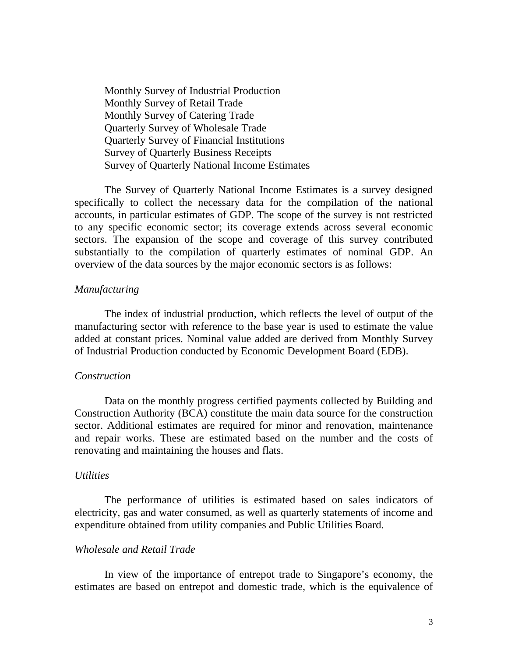Monthly Survey of Industrial Production Monthly Survey of Retail Trade Monthly Survey of Catering Trade Quarterly Survey of Wholesale Trade Quarterly Survey of Financial Institutions Survey of Quarterly Business Receipts Survey of Quarterly National Income Estimates

The Survey of Quarterly National Income Estimates is a survey designed specifically to collect the necessary data for the compilation of the national accounts, in particular estimates of GDP. The scope of the survey is not restricted to any specific economic sector; its coverage extends across several economic sectors. The expansion of the scope and coverage of this survey contributed substantially to the compilation of quarterly estimates of nominal GDP. An overview of the data sources by the major economic sectors is as follows:

# *Manufacturing*

The index of industrial production, which reflects the level of output of the manufacturing sector with reference to the base year is used to estimate the value added at constant prices. Nominal value added are derived from Monthly Survey of Industrial Production conducted by Economic Development Board (EDB).

### *Construction*

Data on the monthly progress certified payments collected by Building and Construction Authority (BCA) constitute the main data source for the construction sector. Additional estimates are required for minor and renovation, maintenance and repair works. These are estimated based on the number and the costs of renovating and maintaining the houses and flats.

#### *Utilities*

The performance of utilities is estimated based on sales indicators of electricity, gas and water consumed, as well as quarterly statements of income and expenditure obtained from utility companies and Public Utilities Board.

# *Wholesale and Retail Trade*

In view of the importance of entrepot trade to Singapore's economy, the estimates are based on entrepot and domestic trade, which is the equivalence of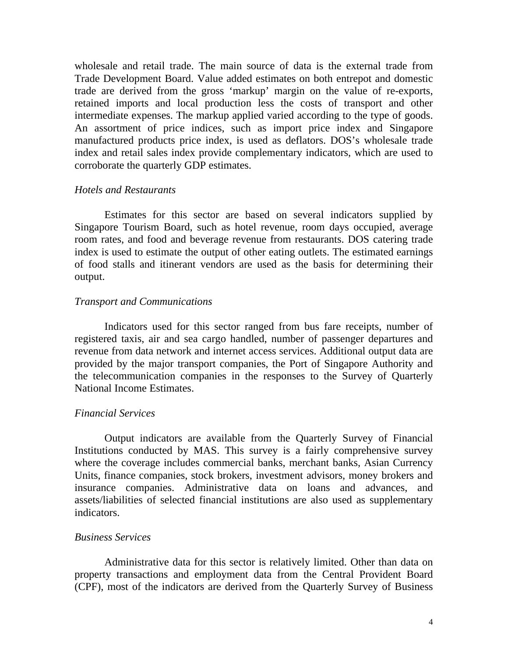wholesale and retail trade. The main source of data is the external trade from Trade Development Board. Value added estimates on both entrepot and domestic trade are derived from the gross 'markup' margin on the value of re-exports, retained imports and local production less the costs of transport and other intermediate expenses. The markup applied varied according to the type of goods. An assortment of price indices, such as import price index and Singapore manufactured products price index, is used as deflators. DOS's wholesale trade index and retail sales index provide complementary indicators, which are used to corroborate the quarterly GDP estimates.

# *Hotels and Restaurants*

Estimates for this sector are based on several indicators supplied by Singapore Tourism Board, such as hotel revenue, room days occupied, average room rates, and food and beverage revenue from restaurants. DOS catering trade index is used to estimate the output of other eating outlets. The estimated earnings of food stalls and itinerant vendors are used as the basis for determining their output.

# *Transport and Communications*

Indicators used for this sector ranged from bus fare receipts, number of registered taxis, air and sea cargo handled, number of passenger departures and revenue from data network and internet access services. Additional output data are provided by the major transport companies, the Port of Singapore Authority and the telecommunication companies in the responses to the Survey of Quarterly National Income Estimates.

# *Financial Services*

Output indicators are available from the Quarterly Survey of Financial Institutions conducted by MAS. This survey is a fairly comprehensive survey where the coverage includes commercial banks, merchant banks, Asian Currency Units, finance companies, stock brokers, investment advisors, money brokers and insurance companies. Administrative data on loans and advances, and assets/liabilities of selected financial institutions are also used as supplementary indicators.

### *Business Services*

Administrative data for this sector is relatively limited. Other than data on property transactions and employment data from the Central Provident Board (CPF), most of the indicators are derived from the Quarterly Survey of Business